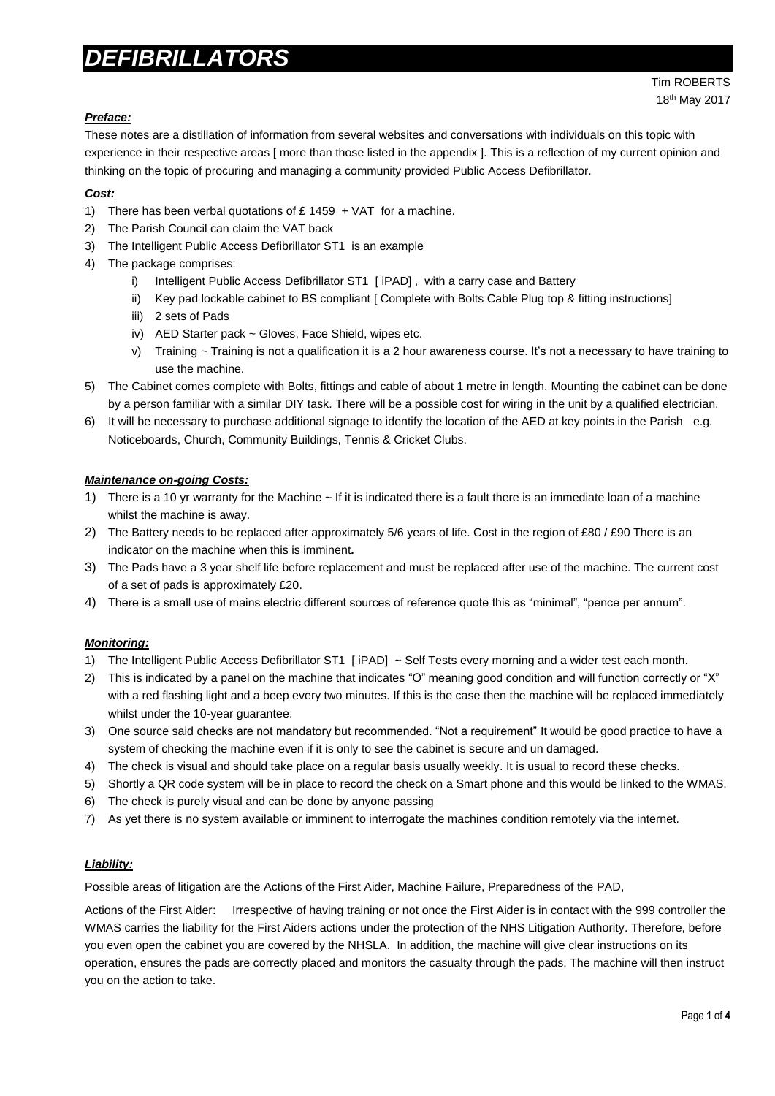# *DEFIBRILLATORS*

## *Preface:*

These notes are a distillation of information from several websites and conversations with individuals on this topic with experience in their respective areas [ more than those listed in the appendix ]. This is a reflection of my current opinion and thinking on the topic of procuring and managing a community provided Public Access Defibrillator.

## *Cost:*

- 1) There has been verbal quotations of  $£ 1459 + VAT$  for a machine.
- 2) The Parish Council can claim the VAT back
- 3) The Intelligent Public Access Defibrillator ST1 is an example
- 4) The package comprises:
	- i) Intelligent Public Access Defibrillator ST1 [ iPAD], with a carry case and Battery
	- ii) Key pad lockable cabinet to BS compliant [ Complete with Bolts Cable Plug top & fitting instructions]
	- iii) 2 sets of Pads
	- iv) AED Starter pack ~ Gloves, Face Shield, wipes etc.
	- v) Training ~ Training is not a qualification it is a 2 hour awareness course. It's not a necessary to have training to use the machine.
- 5) The Cabinet comes complete with Bolts, fittings and cable of about 1 metre in length. Mounting the cabinet can be done by a person familiar with a similar DIY task. There will be a possible cost for wiring in the unit by a qualified electrician.
- 6) It will be necessary to purchase additional signage to identify the location of the AED at key points in the Parish e.g. Noticeboards, Church, Community Buildings, Tennis & Cricket Clubs.

## *Maintenance on-going Costs:*

- 1) There is a 10 yr warranty for the Machine ~ If it is indicated there is a fault there is an immediate loan of a machine whilst the machine is away.
- 2) The Battery needs to be replaced after approximately 5/6 years of life. Cost in the region of £80 / £90 There is an indicator on the machine when this is imminent*.*
- 3) The Pads have a 3 year shelf life before replacement and must be replaced after use of the machine. The current cost of a set of pads is approximately £20.
- 4) There is a small use of mains electric different sources of reference quote this as "minimal", "pence per annum".

## *Monitoring:*

- 1) The Intelligent Public Access Defibrillator ST1 [ iPAD] ~ Self Tests every morning and a wider test each month.
- 2) This is indicated by a panel on the machine that indicates "O" meaning good condition and will function correctly or "X" with a red flashing light and a beep every two minutes. If this is the case then the machine will be replaced immediately whilst under the 10-year quarantee.
- 3) One source said checks are not mandatory but recommended. "Not a requirement" It would be good practice to have a system of checking the machine even if it is only to see the cabinet is secure and un damaged.
- 4) The check is visual and should take place on a regular basis usually weekly. It is usual to record these checks.
- 5) Shortly a QR code system will be in place to record the check on a Smart phone and this would be linked to the WMAS.
- 6) The check is purely visual and can be done by anyone passing
- 7) As yet there is no system available or imminent to interrogate the machines condition remotely via the internet.

# *Liability:*

Possible areas of litigation are the Actions of the First Aider, Machine Failure, Preparedness of the PAD,

Actions of the First Aider: Irrespective of having training or not once the First Aider is in contact with the 999 controller the WMAS carries the liability for the First Aiders actions under the protection of the NHS Litigation Authority. Therefore, before you even open the cabinet you are covered by the NHSLA. In addition, the machine will give clear instructions on its operation, ensures the pads are correctly placed and monitors the casualty through the pads. The machine will then instruct you on the action to take.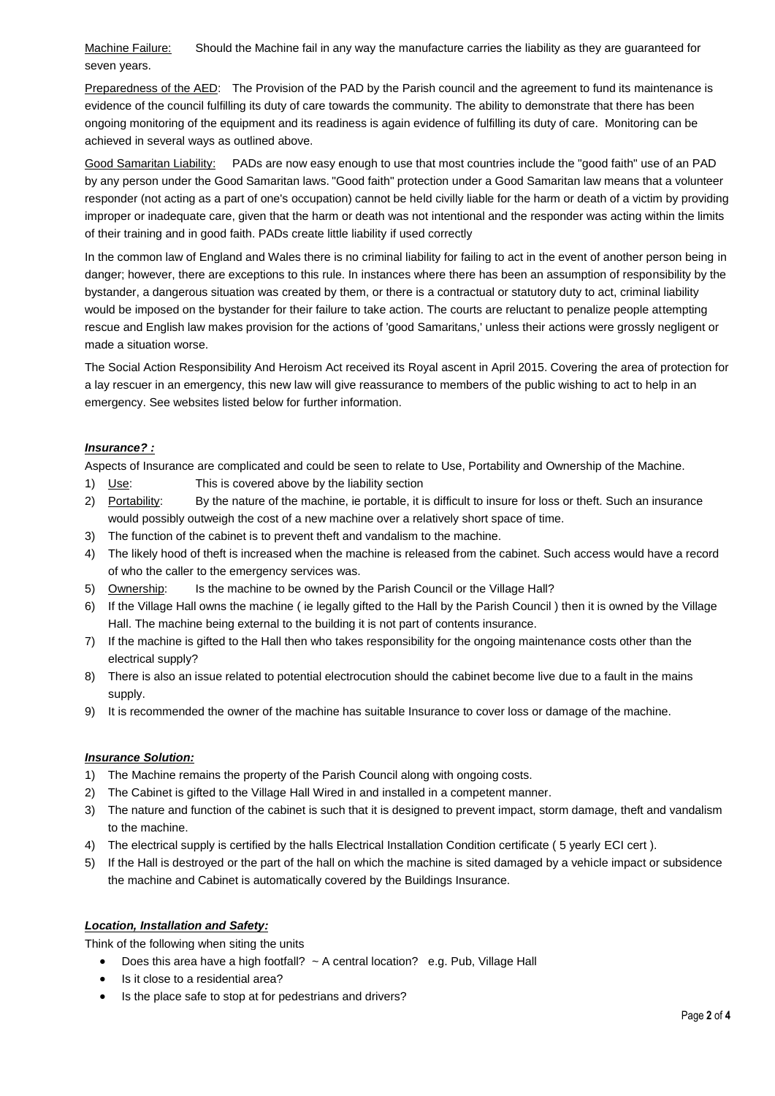Machine Failure: Should the Machine fail in any way the manufacture carries the liability as they are guaranteed for seven years.

Preparedness of the AED: The Provision of the PAD by the Parish council and the agreement to fund its maintenance is evidence of the council fulfilling its duty of care towards the community. The ability to demonstrate that there has been ongoing monitoring of the equipment and its readiness is again evidence of fulfilling its duty of care. Monitoring can be achieved in several ways as outlined above.

Good Samaritan Liability: PADs are now easy enough to use that most countries include the "good faith" use of an PAD by any person under the Good Samaritan laws[.](http://www.communityheartbeat.org.uk/whatisanaed.php#14) "Good faith" protection under a Good Samaritan law means that a volunteer responder (not acting as a part of one's occupation) cannot be held civilly liable for the harm or death of a victim by providing improper or inadequate care, given that the harm or death was not intentional and the responder was acting within the limits of their training and in good faith. PADs create little liability if used correctly

In the common law of England and Wales there is no criminal liability for failing to act in the event of another person being in danger; however, there are exceptions to this rule. In instances where there has been an assumption of responsibility by the bystander, a dangerous situation was created by them, or there is a contractual or statutory duty to act, criminal liability would be imposed on the bystander for their failure to take action. The courts are reluctant to penalize people attempting rescue and English law makes provision for the actions of 'good Samaritans,' unless their actions were grossly negligent or made a situation worse.

The Social Action Responsibility And Heroism Act received its Royal ascent in April 2015. Covering the area of protection for a lay rescuer in an emergency, this new law will give reassurance to members of the public wishing to act to help in an emergency. See websites listed below for further information.

## *Insurance? :*

Aspects of Insurance are complicated and could be seen to relate to Use, Portability and Ownership of the Machine.

- 1) Use: This is covered above by the liability section
- 2) Portability: By the nature of the machine, ie portable, it is difficult to insure for loss or theft. Such an insurance would possibly outweigh the cost of a new machine over a relatively short space of time.
- 3) The function of the cabinet is to prevent theft and vandalism to the machine.
- 4) The likely hood of theft is increased when the machine is released from the cabinet. Such access would have a record of who the caller to the emergency services was.
- 5) Ownership: Is the machine to be owned by the Parish Council or the Village Hall?
- 6) If the Village Hall owns the machine ( ie legally gifted to the Hall by the Parish Council ) then it is owned by the Village Hall. The machine being external to the building it is not part of contents insurance.
- 7) If the machine is gifted to the Hall then who takes responsibility for the ongoing maintenance costs other than the electrical supply?
- 8) There is also an issue related to potential electrocution should the cabinet become live due to a fault in the mains supply.
- 9) It is recommended the owner of the machine has suitable Insurance to cover loss or damage of the machine.

## *Insurance Solution:*

- 1) The Machine remains the property of the Parish Council along with ongoing costs.
- 2) The Cabinet is gifted to the Village Hall Wired in and installed in a competent manner.
- 3) The nature and function of the cabinet is such that it is designed to prevent impact, storm damage, theft and vandalism to the machine.
- 4) The electrical supply is certified by the halls Electrical Installation Condition certificate ( 5 yearly ECI cert ).
- 5) If the Hall is destroyed or the part of the hall on which the machine is sited damaged by a vehicle impact or subsidence the machine and Cabinet is automatically covered by the Buildings Insurance.

## *Location, Installation and Safety:*

Think of the following when siting the units

- Does this area have a high footfall? ~ A central location? e.g. Pub, Village Hall
- Is it close to a residential area?
- Is the place safe to stop at for pedestrians and drivers?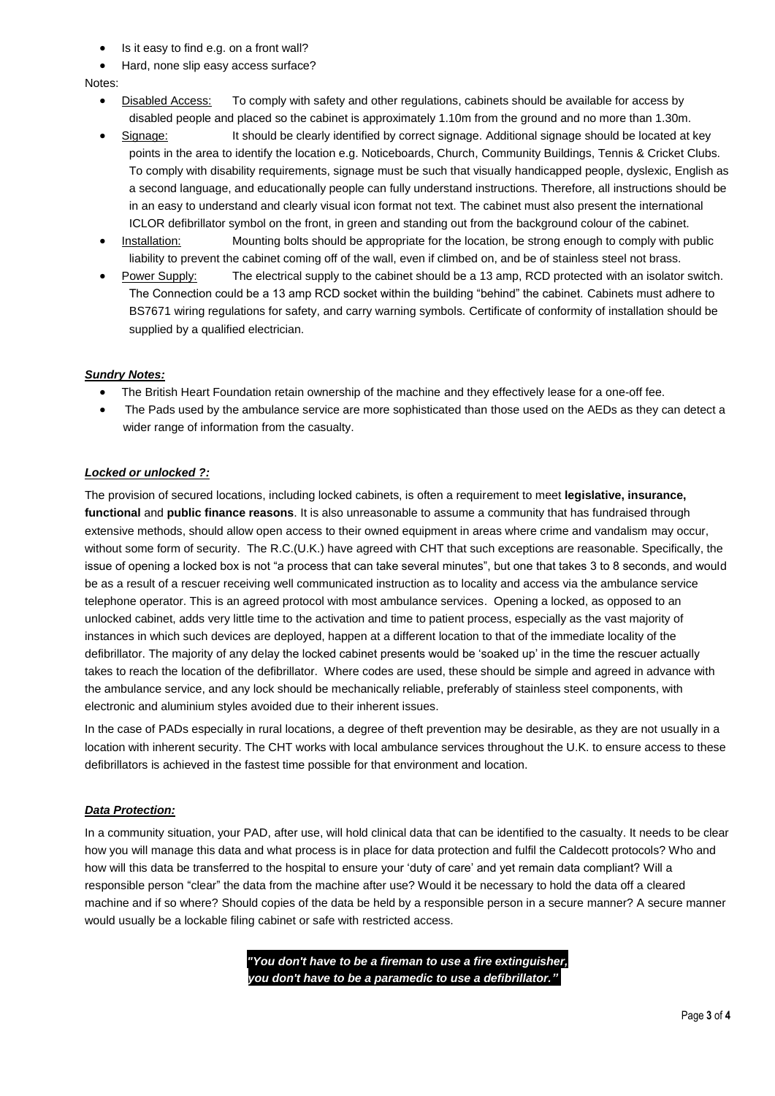- Is it easy to find e.g. on a front wall?
- Hard, none slip easy access surface?

#### Notes:

- Disabled Access: To comply with safety and other regulations, cabinets should be available for access by disabled people and placed so the cabinet is approximately 1.10m from the ground and no more than 1.30m.
- Signage: It should be clearly identified by correct signage. Additional signage should be located at key points in the area to identify the location e.g. Noticeboards, Church, Community Buildings, Tennis & Cricket Clubs. To comply with disability requirements, signage must be such that visually handicapped people, dyslexic, English as a second language, and educationally people can fully understand instructions. Therefore, all instructions should be in an easy to understand and clearly visual icon format not text. The cabinet must also present the international ICLOR defibrillator symbol on the front, in green and standing out from the background colour of the cabinet.
- Installation: Mounting bolts should be appropriate for the location, be strong enough to comply with public liability to prevent the cabinet coming off of the wall, even if climbed on, and be of stainless steel not brass.
- Power Supply: The electrical supply to the cabinet should be a 13 amp, RCD protected with an isolator switch. The Connection could be a 13 amp RCD socket within the building "behind" the cabinet. Cabinets must adhere to BS7671 wiring regulations for safety, and carry warning symbols. Certificate of conformity of installation should be supplied by a qualified electrician.

## *Sundry Notes:*

- The British Heart Foundation retain ownership of the machine and they effectively lease for a one-off fee.
- The Pads used by the ambulance service are more sophisticated than those used on the AEDs as they can detect a wider range of information from the casualty.

## *Locked or unlocked ?:*

The provision of secured locations, including locked cabinets, is often a requirement to meet **legislative, insurance, functional** and **public finance reasons**. It is also unreasonable to assume a community that has fundraised through extensive methods, should allow open access to their owned equipment in areas where crime and vandalism may occur, without some form of security. The R.C.(U.K.) have agreed with CHT that such exceptions are reasonable. Specifically, the issue of opening a locked box is not "a process that can take several minutes", but one that takes 3 to 8 seconds, and would be as a result of a rescuer receiving well communicated instruction as to locality and access via the ambulance service telephone operator. This is an agreed protocol with most ambulance services. Opening a locked, as opposed to an unlocked cabinet, adds very little time to the activation and time to patient process, especially as the vast majority of instances in which such devices are deployed, happen at a different location to that of the immediate locality of the defibrillator. The majority of any delay the locked cabinet presents would be 'soaked up' in the time the rescuer actually takes to reach the location of the defibrillator. Where codes are used, these should be simple and agreed in advance with the ambulance service, and any lock should be mechanically reliable, preferably of stainless steel components, with electronic and aluminium styles avoided due to their inherent issues.

In the case of PADs especially in rural locations, a degree of theft prevention may be desirable, as they are not usually in a location with inherent security. The CHT works with local ambulance services throughout the U.K. to ensure access to these defibrillators is achieved in the fastest time possible for that environment and location.

## *Data Protection:*

In a community situation, your PAD, after use, will hold clinical data that can be identified to the casualty. It needs to be clear how you will manage this data and what process is in place for data protection and fulfil the Caldecott protocols? Who and how will this data be transferred to the hospital to ensure your 'duty of care' and yet remain data compliant? Will a responsible person "clear" the data from the machine after use? Would it be necessary to hold the data off a cleared machine and if so where? Should copies of the data be held by a responsible person in a secure manner? A secure manner would usually be a lockable filing cabinet or safe with restricted access.

> *"You don't have to be a fireman to use a fire extinguisher, you don't have to be a paramedic to use a defibrillator." .*